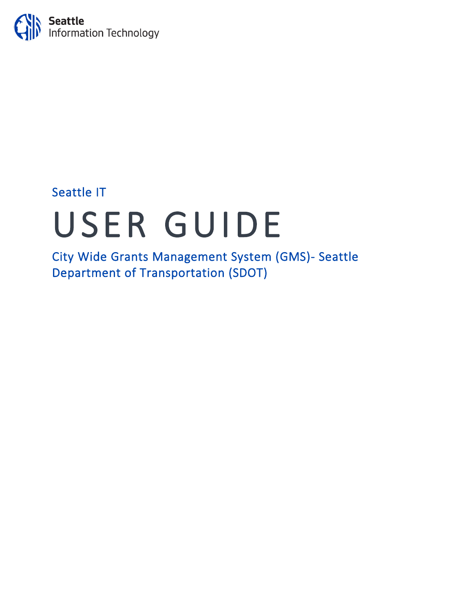

## Seattle IT

# USER GUIDE City Wide Grants Management System (GMS)- Seattle

Department of Transportation (SDOT)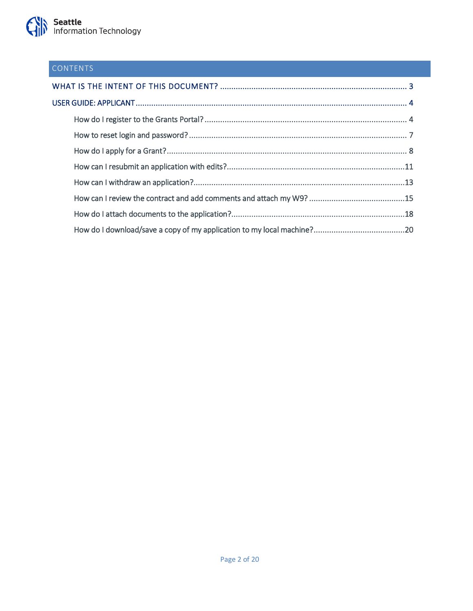### CONTENTS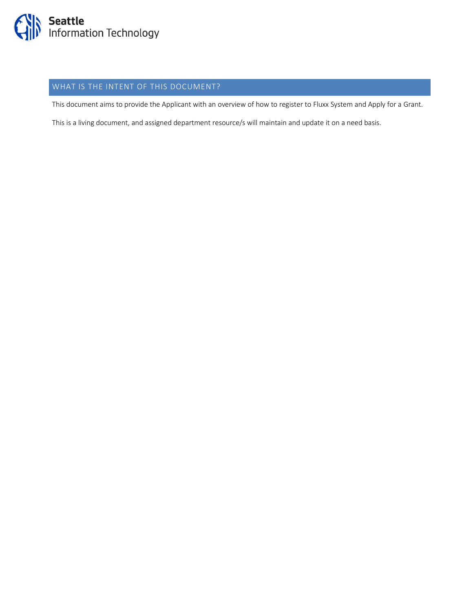

### <span id="page-2-0"></span>WHAT IS THE INTENT OF THIS DOCUMENT?

This document aims to provide the Applicant with an overview of how to register to Fluxx System and Apply for a Grant.

This is a living document, and assigned department resource/s will maintain and update it on a need basis.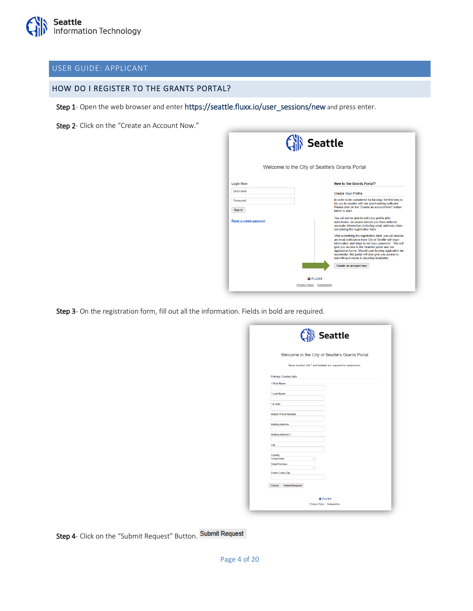#### <span id="page-3-0"></span>USER GUIDE: APPLICANT

#### <span id="page-3-1"></span>HOW DO I REGISTER TO THE GRANTS PORTAL?

Step 1- Open the web browser and enter https://seattle.fluxx.io/user\_sessions/new and press enter.

Step 2- Click on the "Create an Account Now."

| <b>Seattle</b>           |                                                |                                                                                                                                                                                                                                                                                                                                                                                            |  |
|--------------------------|------------------------------------------------|--------------------------------------------------------------------------------------------------------------------------------------------------------------------------------------------------------------------------------------------------------------------------------------------------------------------------------------------------------------------------------------------|--|
|                          | Welcome to the City of Seattle's Grants Portal |                                                                                                                                                                                                                                                                                                                                                                                            |  |
| Login Now:               |                                                | <b>New to the Grants Portal?</b>                                                                                                                                                                                                                                                                                                                                                           |  |
| Usemame                  |                                                | <b>Create Your Profile</b>                                                                                                                                                                                                                                                                                                                                                                 |  |
| Password<br>Sign in      |                                                | In order to be considered for funding, the first step is<br>for you to register with our grant making software.<br>Please click on the "Create an account Now" button<br>helow to start                                                                                                                                                                                                    |  |
| Reset or create password |                                                | You will not be able to edit your profile after<br>submission, so please ensure you have entered<br>accurate information (including email address) when<br>completing the registration form.                                                                                                                                                                                               |  |
|                          |                                                | After submitting the registration form, you will receive<br>an email notification from City of Seattle with login<br>information and steps to set your password. This will<br>give you access to the Grantee portal and our<br>application forms. Should your funding application be<br>successful, this portal will also give you access to<br>submitting invoices & reporting templates. |  |
|                          |                                                | Create an account now                                                                                                                                                                                                                                                                                                                                                                      |  |
|                          | <b>ELUXX</b>                                   |                                                                                                                                                                                                                                                                                                                                                                                            |  |
|                          | Privacy Policy Accessibility                   |                                                                                                                                                                                                                                                                                                                                                                                            |  |

Step 3- On the registration form, fill out all the information. Fields in bold are required.

|                                 | Welcome to the City of Seattle's Grants Portal              |  |
|---------------------------------|-------------------------------------------------------------|--|
|                                 | Items marked with * and bolded are required for submission. |  |
| <b>Primary Contact Info</b>     |                                                             |  |
| * First Name                    |                                                             |  |
| * Last Name                     |                                                             |  |
| * E-mail                        |                                                             |  |
| <b>Mobile Phone Number</b>      |                                                             |  |
| <b>Mailing Address</b>          |                                                             |  |
| <b>Mailing Address 2</b>        |                                                             |  |
|                                 |                                                             |  |
| City                            |                                                             |  |
| Country<br><b>United States</b> | $\checkmark$                                                |  |
| State/Province                  | $\checkmark$                                                |  |
| Postal Code (Zip)               |                                                             |  |
| <b>Submit Request</b><br>Cancel |                                                             |  |
|                                 |                                                             |  |

Step 4- Click on the "Submit Request" Button. Submit Request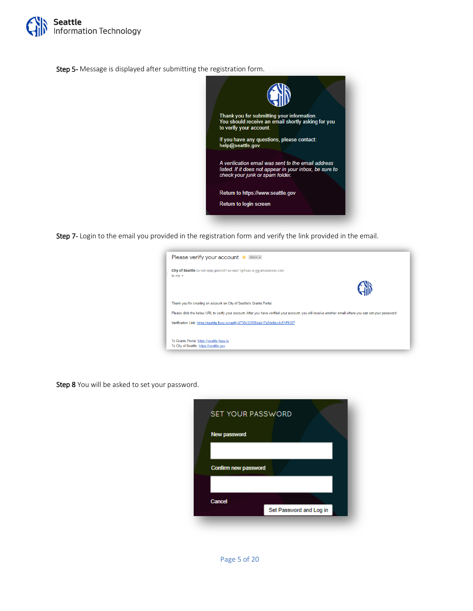

Step 5- Message is displayed after submitting the registration form.



Step 7- Login to the email you provided in the registration form and verify the link provided in the email.

|             | Please verify your account<br>lnbox x                                                                                                                    |
|-------------|----------------------------------------------------------------------------------------------------------------------------------------------------------|
|             | City of Seattle do-not-reply.grants07-us-east-1@fluxx.io via amazonses.com                                                                               |
| to me $\pm$ |                                                                                                                                                          |
|             |                                                                                                                                                          |
|             | Thank you for creating an account on City of Seattle's Grants Portal.                                                                                    |
|             | Please click the below URL to verify your account. After you have verified your account, you will receive another email where you can set your password: |
|             | Verification Link: https://seattle.fluxx.io/verify/4739c329584ab17a9dcbbc4c51ff1087                                                                      |
|             | To Grants Portal: https://seattle.fluxx.io                                                                                                               |
|             | To City of Seattle: https://seattle.gov                                                                                                                  |

Step 8 You will be asked to set your password.

| <b>SET YOUR PASSWORD</b> |                         |  |  |  |
|--------------------------|-------------------------|--|--|--|
| New password             |                         |  |  |  |
| Confirm new password     |                         |  |  |  |
| Cancel                   | Set Password and Log in |  |  |  |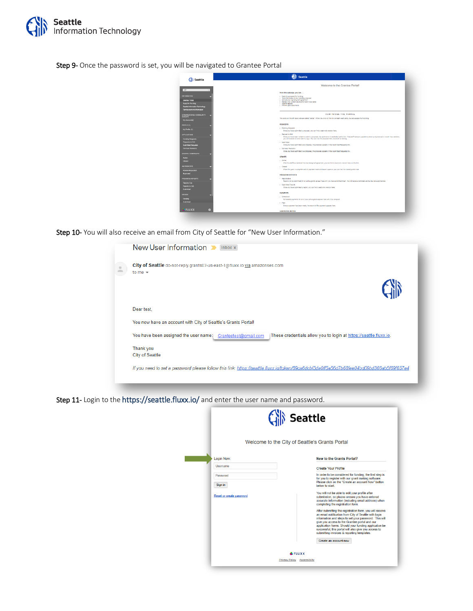

Step 9- Once the password is set, you will be navigated to Grantee Portal

| <b>Seattle</b>                 | <b>Seattle</b>                                                                                                                                                                                                                                                                 |
|--------------------------------|--------------------------------------------------------------------------------------------------------------------------------------------------------------------------------------------------------------------------------------------------------------------------------|
|                                | Welcome to the Grantee Portal!                                                                                                                                                                                                                                                 |
| $\overline{AB}$                | From this webpage, you can                                                                                                                                                                                                                                                     |
| <b>INFORMATION</b>             | - Submit a proposal for funding                                                                                                                                                                                                                                                |
| <b>Grantos Florial</b>         | . Track the status of your panding pracosal<br>- Uplead your signed grant agreement                                                                                                                                                                                            |
| Apply for Funding              | - Review your current grants and report due dates<br>- Submit reports                                                                                                                                                                                                          |
| Seattle Information Technology | - Monitor grant payments                                                                                                                                                                                                                                                       |
| Raimburgement Information      |                                                                                                                                                                                                                                                                                |
| ORGANIZATIONS / COMMUNITY      | HOW TO USE THE PORTAL                                                                                                                                                                                                                                                          |
| <b>GROUPS</b><br>My Account(k) | The loons on the left-hand side are called "cards". When you clidic on the link beneath each card, you are access the following:                                                                                                                                               |
|                                | <b>REQUESTS</b>                                                                                                                                                                                                                                                                |
| FEDPLE (1)                     | . Panding Requests                                                                                                                                                                                                                                                             |
| My Profis (1)                  | Once you have submitted a proposal, you can find a read-only version here.                                                                                                                                                                                                     |
| APPLICATIONS                   | - Fequest to Edit                                                                                                                                                                                                                                                              |
| Pending Requests               | Once you have been invited to submit a procopal, the application is available via this link. If the staff have any questions about your procopal or yould like a revision.<br>you will receive an email abort to login. You can find the proposal here, available for editing. |
| Requests to Edit               | + Submitted                                                                                                                                                                                                                                                                    |
| <b>Cubmitted Requests</b>      | Once you have submitted your proposal, the proposal appears in the Submitted Requests link.                                                                                                                                                                                    |
| <b>Clement Revisions</b>       | - Contract Revisions                                                                                                                                                                                                                                                           |
|                                | Once you have submitted your proposal, the proposal appears in the Submitted Requests link.                                                                                                                                                                                    |
| GRANTS / CONTRACTS             |                                                                                                                                                                                                                                                                                |
| Active                         | <b>GRANTS</b>                                                                                                                                                                                                                                                                  |
| Citysett                       | $-$ Artist<br>After the staff has notived the counters gred agreement, you can find a read-only version here via this link.                                                                                                                                                    |
| <b>AMENDMENTS</b>              | - Closed                                                                                                                                                                                                                                                                       |
|                                | When the prant is complete and all payment made and recort approve, you can find the closed grants here.                                                                                                                                                                       |
| Rovicw Reguasted               |                                                                                                                                                                                                                                                                                |
| <b>Aconved</b>                 | PROGRESS REPORTS                                                                                                                                                                                                                                                               |
| PROGRESS REPORTS               | - Reports Due                                                                                                                                                                                                                                                                  |
| <b>Reports Due</b>             | Reports for be submitted for all active crants appear here until you have submitted them. You will repeive reminders as the due date approaches.                                                                                                                               |
| Reports to Lick                | - Submitted Reports                                                                                                                                                                                                                                                            |
| <b>Gubmidaed</b>               | Once you have submitted a recort, you can find a read-only version here.                                                                                                                                                                                                       |
|                                | <b>PAYMENTS</b>                                                                                                                                                                                                                                                                |
| <b>PACKER</b>                  | - Scheckind                                                                                                                                                                                                                                                                    |
| Ponding                        | Scheduled payments for all of your active grants appear here until they are paid.                                                                                                                                                                                              |
| Submitted                      | $-$ Paid                                                                                                                                                                                                                                                                       |
|                                | Once a payment has been made, the record of the payment appears here.                                                                                                                                                                                                          |
| <b>* FLUXX</b><br>m            |                                                                                                                                                                                                                                                                                |
|                                | <b>ADDITIONAL NOTES</b>                                                                                                                                                                                                                                                        |

Step 10- You will also receive an email from City of Seattle for "New User Information."

| New User Information<br>$Inbox \times$                                                                                                   |
|------------------------------------------------------------------------------------------------------------------------------------------|
| City of Seattle do-not-reply.grants07-us-east-1@fluxx.io via amazonses.com<br>to me $\sim$                                               |
|                                                                                                                                          |
| Dear test,                                                                                                                               |
| You now have an account with City of Seattle's Grants Portal!                                                                            |
| You have been assigned the user name:<br>These credentials allow you to login at https://seattle.fluxx.io.<br>Granteetest@gmail.com      |
| Thank you<br><b>City of Seattle</b>                                                                                                      |
| If you need to set a password please follow this link: https://seattle.fluxx.io/token/89ca6dcbf3da0ff5a56d7b68fee04bd09bd366ab5f69f657e4 |

Step 11- Login to the <https://seattle.fluxx.io/> and enter the user name and password.

|                          | <b>Seattle</b><br>Welcome to the City of Seattle's Grants Portal                                                                                                                                                                                                                                                                                                                           |  |  |
|--------------------------|--------------------------------------------------------------------------------------------------------------------------------------------------------------------------------------------------------------------------------------------------------------------------------------------------------------------------------------------------------------------------------------------|--|--|
| Login Now:               | <b>New to the Grants Portal?</b>                                                                                                                                                                                                                                                                                                                                                           |  |  |
| <b>Usemame</b>           | Create Your Profile                                                                                                                                                                                                                                                                                                                                                                        |  |  |
| Password<br>Sign in      | In order to be considered for funding, the first step is<br>for you to register with our grant making software.<br>Please click on the "Create an account Now" button<br>below to start.                                                                                                                                                                                                   |  |  |
| Reset or create password | You will not be able to edit your profile after<br>submission, so please ensure you have entered<br>accurate information (including email address) when<br>completing the registration form.                                                                                                                                                                                               |  |  |
|                          | After submitting the registration form, you will receive<br>an email notification from City of Seattle with login<br>information and steps to set your password. This will<br>give you access to the Grantee portal and our<br>application forms. Should your funding application be<br>successful, this portal will also give you access to<br>submitting invoices & reporting templates. |  |  |
|                          | Create an account now                                                                                                                                                                                                                                                                                                                                                                      |  |  |
|                          | <b>E</b> FLUXX<br>Privacy Policy Accessibility                                                                                                                                                                                                                                                                                                                                             |  |  |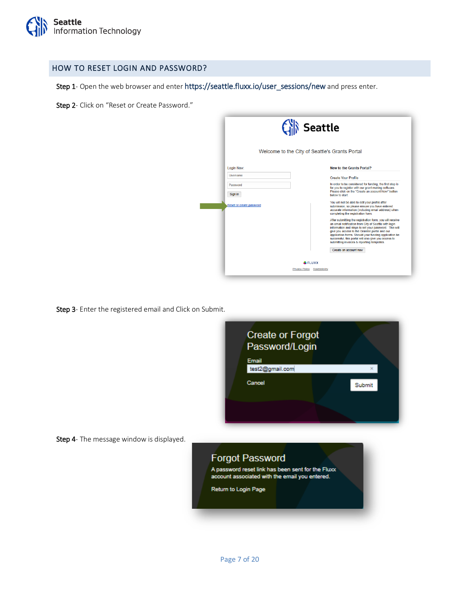

#### <span id="page-6-0"></span>HOW TO RESET LOGIN AND PASSWORD?

Step 1- Open the web browser and enter [https://seattle.fluxx.io/user\\_sessions/new](https://seattle.fluxx.io/user_sessions/new) and press enter.

Step 2- Click on "Reset or Create Password."

|                          | <b>Seattle</b><br>Welcome to the City of Seattle's Grants Portal                                                                                                                                                                                                                                                                                                                           |  |  |
|--------------------------|--------------------------------------------------------------------------------------------------------------------------------------------------------------------------------------------------------------------------------------------------------------------------------------------------------------------------------------------------------------------------------------------|--|--|
| Login Now:               | <b>New to the Grants Portal?</b>                                                                                                                                                                                                                                                                                                                                                           |  |  |
| Usemame                  | Create Your Profile                                                                                                                                                                                                                                                                                                                                                                        |  |  |
| Password<br>Sign in      | In order to be considered for funding, the first step is<br>for you to register with our grant making software.<br>Please click on the "Create an account Now" button.<br>below to start.                                                                                                                                                                                                  |  |  |
| Reset or create password | You will not be able to edit your profile after<br>submission, so please ensure you have entered<br>accurate information (including email address) when<br>completing the registration form.                                                                                                                                                                                               |  |  |
|                          | After submitting the registration form, you will receive<br>an email notification from City of Seattle with login<br>information and steps to set your password. This will<br>give you access to the Grantee portal and our<br>application forms. Should your funding application be<br>successful, this portal will also give you access to<br>submitting invoices & reporting templates. |  |  |
|                          | Create an account now                                                                                                                                                                                                                                                                                                                                                                      |  |  |
|                          | <b>E</b> FLUXX                                                                                                                                                                                                                                                                                                                                                                             |  |  |
|                          | Privacy Policy Accessibility                                                                                                                                                                                                                                                                                                                                                               |  |  |

Step 3- Enter the registered email and Click on Submit.

Step 4- The message window is displayed.



Page 7 of 20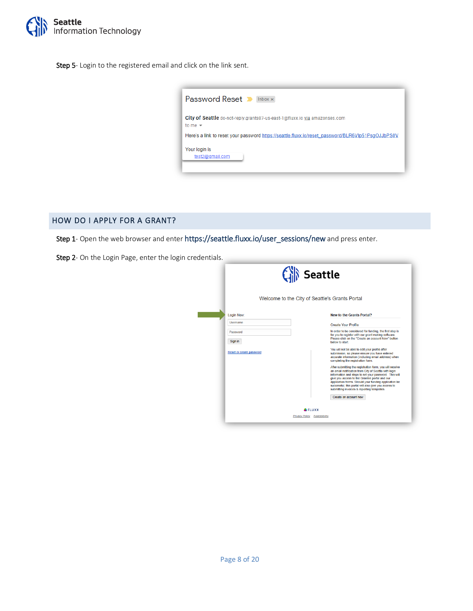

Step 5- Login to the registered email and click on the link sent.

|                                  | <b>Password Reset D</b> Inbox x                                                                   |
|----------------------------------|---------------------------------------------------------------------------------------------------|
| to me $\sim$                     | City of Seattle do-not-reply.grants07-us-east-1@fluxx.io via amazonses.com                        |
|                                  | Here's a link to reset your password https://seattle.fluxx.jo/reset_password/BLR6VIp51PsqOJJbPS0V |
| Your login is<br>test2@gmail.com |                                                                                                   |

#### <span id="page-7-0"></span>HOW DO I APPLY FOR A GRANT?

Step 1- Open the web browser and enter https://seattle.fluxx.io/user\_sessions/new and press enter.

Step 2- On the Login Page, enter the login credentials.

|                          | <b>Seattle</b>                                                                                                                                                                                                                                                                                                                                                                             |  |  |  |  |
|--------------------------|--------------------------------------------------------------------------------------------------------------------------------------------------------------------------------------------------------------------------------------------------------------------------------------------------------------------------------------------------------------------------------------------|--|--|--|--|
|                          | Welcome to the City of Seattle's Grants Portal                                                                                                                                                                                                                                                                                                                                             |  |  |  |  |
| Login Now:               | <b>New to the Grants Portal?</b>                                                                                                                                                                                                                                                                                                                                                           |  |  |  |  |
| <b>Usemame</b>           | <b>Create Your Profile</b>                                                                                                                                                                                                                                                                                                                                                                 |  |  |  |  |
| Password<br>Sign in      | In order to be considered for funding, the first step is<br>for you to register with our grant making software.<br>Please click on the "Create an account Now" button<br>below to start                                                                                                                                                                                                    |  |  |  |  |
| Reset or create password | You will not be able to edit your profile after<br>submission, so please ensure you have entered<br>accurate information (including email address) when<br>completing the registration form.                                                                                                                                                                                               |  |  |  |  |
|                          | After submitting the registration form, you will receive<br>an email notification from City of Seattle with login<br>information and steps to set your password. This will<br>give you access to the Grantee portal and our<br>application forms. Should your funding application be<br>successful, this portal will also give you access to<br>submitting invoices & reporting templates. |  |  |  |  |
|                          | Create an account now                                                                                                                                                                                                                                                                                                                                                                      |  |  |  |  |
|                          | <b>E</b> FLUXX<br>Privacy Policy Accessibility                                                                                                                                                                                                                                                                                                                                             |  |  |  |  |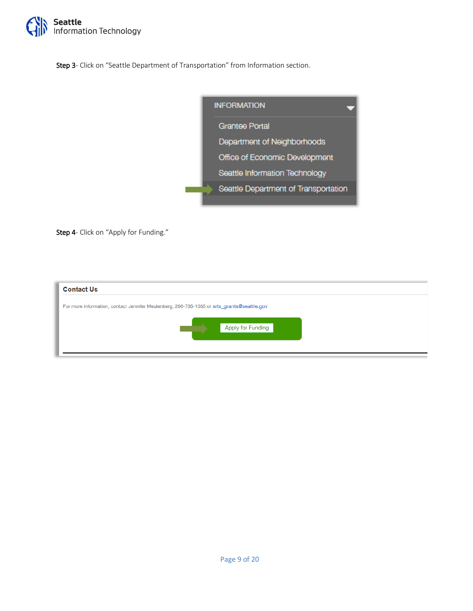

Step 3- Click on "Seattle Department of Transportation" from Information section.



Step 4- Click on "Apply for Funding."

| <b>Contact Us</b>                                                                          |  |  |  |  |  |
|--------------------------------------------------------------------------------------------|--|--|--|--|--|
| For more information, contact Jennifer Meulenberg, 206-735-1055 or srts_grants@seattle.gov |  |  |  |  |  |
| Apply for Funding                                                                          |  |  |  |  |  |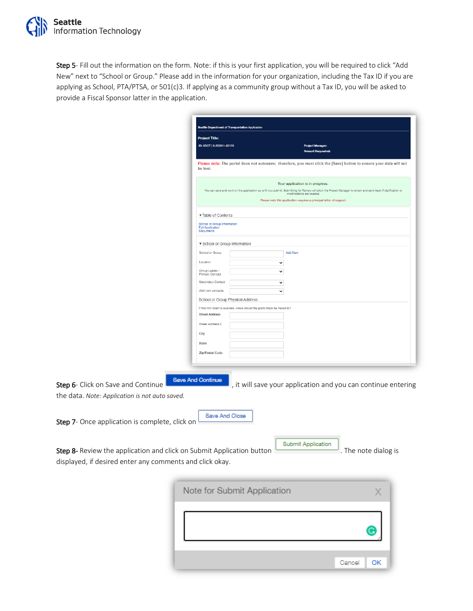Step 5- Fill out the information on the form. Note: if this is your first application, you will be required to click "Add New" next to "School or Group." Please add in the information for your organization, including the Tax ID if you are applying as School, PTA/PTSA, or 501(c)3. If applying as a community group without a Tax ID, you will be asked to provide a Fiscal Sponsor latter in the application.

|                                                                                                                                   | Seattle Department of Transportation Application                                                                                                                                                                                                                           |
|-----------------------------------------------------------------------------------------------------------------------------------|----------------------------------------------------------------------------------------------------------------------------------------------------------------------------------------------------------------------------------------------------------------------------|
|                                                                                                                                   | <b>Project Title:</b><br>ID: SDOT   S-202011-02158<br><b>Project Manager</b>                                                                                                                                                                                               |
|                                                                                                                                   | <b>nount Requ</b>                                                                                                                                                                                                                                                          |
|                                                                                                                                   | Please note: The portal does not autosave; therefore, you must click the [Save] button to ensure your data will not<br>be lost.                                                                                                                                            |
|                                                                                                                                   | Your application is in progress.<br>You can save and work on the application up until you submit. Submitting for Review will allow the Project Manager to review and send back if clarification or<br>Please note this application requires a principal letter of support. |
|                                                                                                                                   |                                                                                                                                                                                                                                                                            |
|                                                                                                                                   | ▼ Table of Contents                                                                                                                                                                                                                                                        |
|                                                                                                                                   | School or Group Information<br><b>Full Application</b><br>Documents                                                                                                                                                                                                        |
|                                                                                                                                   | ▼ School or Group Information                                                                                                                                                                                                                                              |
|                                                                                                                                   | <b>Add New</b><br>School or Group                                                                                                                                                                                                                                          |
|                                                                                                                                   | Location<br>$\check{~}$                                                                                                                                                                                                                                                    |
|                                                                                                                                   | Group Leader /<br>$\checkmark$<br><b>Primary Contact</b>                                                                                                                                                                                                                   |
|                                                                                                                                   | Secondary Contact<br>$\checkmark$                                                                                                                                                                                                                                          |
|                                                                                                                                   | Add new contacts<br>$\checkmark$                                                                                                                                                                                                                                           |
|                                                                                                                                   | School or Group Physical Address                                                                                                                                                                                                                                           |
|                                                                                                                                   | If this Mini Grant is awarded, where should the grant check be mailed to?                                                                                                                                                                                                  |
|                                                                                                                                   | <b>Street Address</b>                                                                                                                                                                                                                                                      |
|                                                                                                                                   | Street Address 2                                                                                                                                                                                                                                                           |
|                                                                                                                                   | City                                                                                                                                                                                                                                                                       |
|                                                                                                                                   | <b>State</b>                                                                                                                                                                                                                                                               |
|                                                                                                                                   | Zip/Postal Code                                                                                                                                                                                                                                                            |
|                                                                                                                                   |                                                                                                                                                                                                                                                                            |
| Step 6- Click on Save and Continue<br>the data. Note: Application is not auto saved.                                              | <b>Save And Continue</b><br>, it will save your application and you can continue entering                                                                                                                                                                                  |
| Step 7- Once application is complete, click on                                                                                    | Save And Close                                                                                                                                                                                                                                                             |
| Step 8- Review the application and click on Submit Application button<br>displayed, if desired enter any comments and click okay. | Submit Application<br>. The note dialog is                                                                                                                                                                                                                                 |
|                                                                                                                                   | Note for Submit Application<br>X                                                                                                                                                                                                                                           |

| NOTE TOT SUDMIT Application |             |
|-----------------------------|-------------|
|                             | G           |
|                             |             |
|                             | Cancel   OK |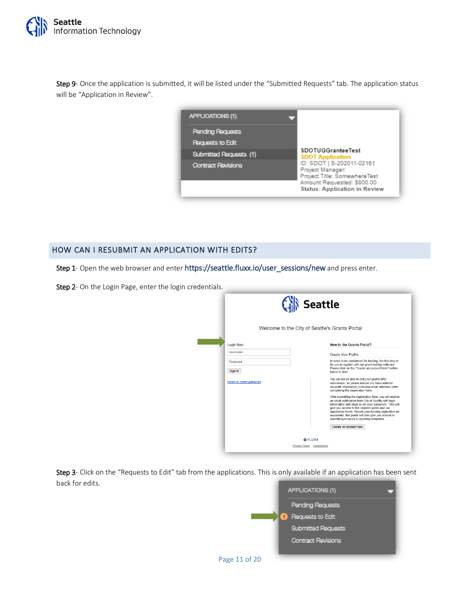

Step 9- Once the application is submitted, it will be listed under the "Submitted Requests" tab. The application status will be "Application in Review".



#### <span id="page-10-0"></span>HOW CAN I RESUBMIT AN APPLICATION WITH EDITS?

Step 1- Open the web browser and enter https://seattle.fluxx.io/user\_sessions/new and press enter.

Step 2- On the Login Page, enter the login credentials.

|                     |                          |                                     | <b>Seattle</b>                                                                                                                                                                                                                                                                                                                                                                             |
|---------------------|--------------------------|-------------------------------------|--------------------------------------------------------------------------------------------------------------------------------------------------------------------------------------------------------------------------------------------------------------------------------------------------------------------------------------------------------------------------------------------|
|                     |                          |                                     | Welcome to the City of Seattle's Grants Portal                                                                                                                                                                                                                                                                                                                                             |
| Login Now:          |                          |                                     | <b>New to the Grants Portal?</b>                                                                                                                                                                                                                                                                                                                                                           |
| Usemame             |                          |                                     | <b>Create Your Profile</b>                                                                                                                                                                                                                                                                                                                                                                 |
| Password<br>Sign in |                          |                                     | In order to be considered for funding, the first step is<br>for you to register with our grant making software.<br>Please click on the "Create an account Now" button.<br>helow to start                                                                                                                                                                                                   |
|                     | Reset or create password |                                     | You will not be able to edit your profile after<br>submission, so please ensure you have entered<br>accurate information (including email address) when<br>completing the registration form.                                                                                                                                                                                               |
|                     |                          |                                     | After submitting the registration form, you will receive<br>an email notification from City of Seattle with login<br>information and steps to set your password. This will<br>give you access to the Grantee portal and our<br>application forms. Should your funding application be<br>successful, this portal will also give you access to<br>submitting invoices & reporting templates. |
|                     |                          |                                     | Create an account now                                                                                                                                                                                                                                                                                                                                                                      |
|                     |                          | <b>E</b> FLUXX                      |                                                                                                                                                                                                                                                                                                                                                                                            |
|                     |                          | <b>Privacy Policy Accessibility</b> |                                                                                                                                                                                                                                                                                                                                                                                            |

Step 3- Click on the "Requests to Edit" tab from the applications. This is only available if an application has been sent back for edits.

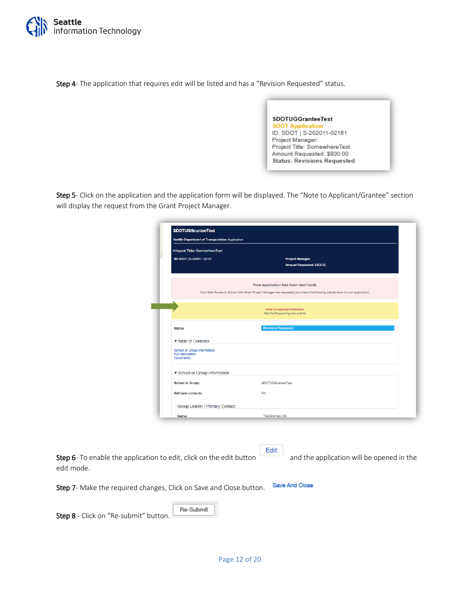

Step 4- The application that requires edit will be listed and has a "Revision Requested" status.



Step 5- Click on the application and the application form will be displayed. The "Note to Applicant/Grantee" section will display the request from the Grant Project Manager.

| <b>Seattle Department of Transportation Application</b>                    |                                                                                                                                                                     |
|----------------------------------------------------------------------------|---------------------------------------------------------------------------------------------------------------------------------------------------------------------|
| Project Title: SomewhereTest                                               |                                                                                                                                                                     |
| ID: SDOT   S-202011-02161                                                  | <b>Project Manager:</b><br>Amount Requested: \$800.00                                                                                                               |
|                                                                            | Your application has been sent back.<br>Your Safe Routes to School Mini Grant Project Manager has requested you make the following adjustments to your application. |
|                                                                            | Note to Applicant/Grantee:<br>Add the Supporting documents                                                                                                          |
| <b>Status</b>                                                              | <b>Revisions Requested</b>                                                                                                                                          |
| ▼ Table of Contents                                                        |                                                                                                                                                                     |
| School or Group Information<br><b>Full Application</b><br><b>Documents</b> |                                                                                                                                                                     |
| ▼ School or Group Information                                              |                                                                                                                                                                     |
| <b>School or Group:</b>                                                    | <b>SDOTUGGranteeTest</b>                                                                                                                                            |
| <b>Add new contacts:</b>                                                   | <b>No</b>                                                                                                                                                           |
| Group Leader / Primary Contact                                             |                                                                                                                                                                     |
|                                                                            |                                                                                                                                                                     |

Edit Step 6- To enable the application to edit, click on the edit button and the application will be opened in the edit mode.

Save And Close Step 7- Make the required changes, Click on Save and Close button.

Re-Submit Step 8 - Click on "Re-submit" button.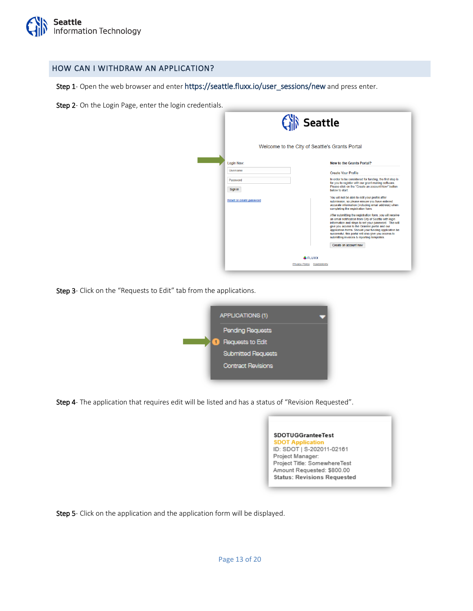

#### <span id="page-12-0"></span>HOW CAN I WITHDRAW AN APPLICATION?

Step 1- Open the web browser and enter [https://seattle.fluxx.io/user\\_sessions/new](https://seattle.fluxx.io/user_sessions/new) and press enter.

Step 2- On the Login Page, enter the login credentials.

|                          | Welcome to the City of Seattle's Grants Portal | <b>Seattle</b>                                                                                                                                                                                                                                                                                                                                                                             |
|--------------------------|------------------------------------------------|--------------------------------------------------------------------------------------------------------------------------------------------------------------------------------------------------------------------------------------------------------------------------------------------------------------------------------------------------------------------------------------------|
| Login Now:               |                                                | New to the Grants Portal?                                                                                                                                                                                                                                                                                                                                                                  |
| <b>Usemame</b>           |                                                | <b>Create Your Profile</b>                                                                                                                                                                                                                                                                                                                                                                 |
| Password<br>Sign in      |                                                | In order to be considered for funding, the first step is<br>for you to register with our grant making software.<br>Please click on the "Create an account Now" button.<br>below to start.                                                                                                                                                                                                  |
| Reset or create password |                                                | You will not be able to edit your profile after<br>submission, so please ensure you have entered<br>accurate information (including email address) when<br>completing the registration form.                                                                                                                                                                                               |
|                          |                                                | After submitting the registration form, you will receive<br>an email notification from City of Seattle with login<br>information and steps to set your password. This will<br>give you access to the Grantee portal and our<br>application forms. Should your funding application be<br>successful, this portal will also give you access to<br>submitting invoices & reporting templates. |
|                          | <b>ELUXX</b>                                   | Create an account now                                                                                                                                                                                                                                                                                                                                                                      |
|                          | <b>Privacy Policy Accessibility</b>            |                                                                                                                                                                                                                                                                                                                                                                                            |

Step 3- Click on the "Requests to Edit" tab from the applications.



Step 4- The application that requires edit will be listed and has a status of "Revision Requested".



Step 5- Click on the application and the application form will be displayed.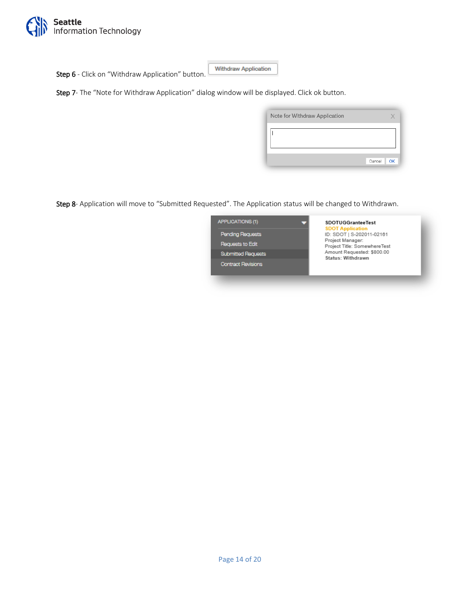

Step 6 - Click on "Withdraw Application" button.

Withdraw Application

Step 7- The "Note for Withdraw Application" dialog window will be displayed. Click ok button.

| Note for Withdraw Application |    |
|-------------------------------|----|
|                               |    |
| Cancel                        | OK |

Step 8- Application will move to "Submitted Requested". The Application status will be changed to Withdrawn.

| APPLICATIONS (1)                     | <b>SDOTUGGranteeTest</b><br><b>SDOT Application</b>                           |
|--------------------------------------|-------------------------------------------------------------------------------|
| Pending Requests<br>Requests to Edit | ID: SDOT   S-202011-02161<br>Project Manager:<br>Project Title: SomewhereTest |
| <b>Submitted Requests</b>            | Amount Requested: \$800.00<br>Status: Withdrawn                               |
| <b>Contract Revisions</b>            |                                                                               |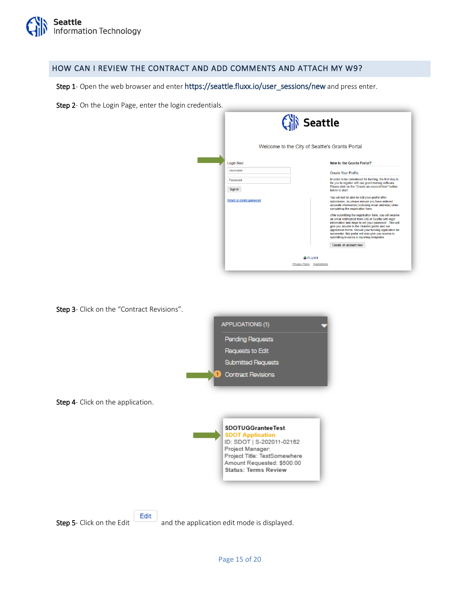

#### <span id="page-14-0"></span>HOW CAN I REVIEW THE CONTRACT AND ADD COMMENTS AND ATTACH MY W9?

Step 1- Open the web browser and enter https://seattle.fluxx.io/user\_sessions/new and press enter.

Step 2- On the Login Page, enter the login credentials.

|                          | <b>Seattle</b><br>Welcome to the City of Seattle's Grants Portal |                                                                                                                                                                                                                                                                                                                                                                                            |
|--------------------------|------------------------------------------------------------------|--------------------------------------------------------------------------------------------------------------------------------------------------------------------------------------------------------------------------------------------------------------------------------------------------------------------------------------------------------------------------------------------|
| Login Now:               |                                                                  | <b>New to the Grants Portal?</b>                                                                                                                                                                                                                                                                                                                                                           |
| <b>Usemame</b>           |                                                                  | <b>Create Your Profile</b>                                                                                                                                                                                                                                                                                                                                                                 |
| Password<br>Sign in      |                                                                  | In order to be considered for funding, the first step is<br>for you to register with our grant making software.<br>Please click on the "Create an account Now" button.<br>below to start.                                                                                                                                                                                                  |
| Reset or create password |                                                                  | You will not be able to edit your profile after<br>submission, so please ensure you have entered<br>accurate information (including email address) when<br>completing the registration form.                                                                                                                                                                                               |
|                          |                                                                  | After submitting the registration form, you will receive<br>an email notification from City of Seattle with login<br>information and steps to set your password. This will<br>give you access to the Grantee portal and our<br>application forms. Should your funding application be<br>successful, this portal will also give you access to<br>submitting invoices & reporting templates. |
|                          |                                                                  | Create an account now                                                                                                                                                                                                                                                                                                                                                                      |
|                          | <b>&amp; FLUXX</b>                                               |                                                                                                                                                                                                                                                                                                                                                                                            |
|                          | Privacy Policy Accessibility                                     |                                                                                                                                                                                                                                                                                                                                                                                            |

Step 3- Click on the "Contract Revisions".



Step 4- Click on the application.





Step 5- Click on the Edit and the application edit mode is displayed.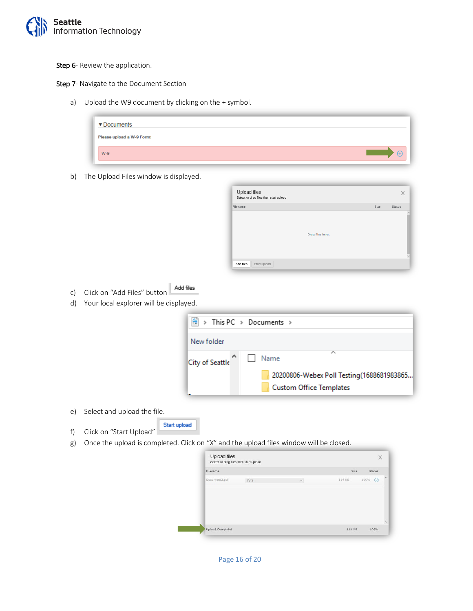

Step 6- Review the application.

Step 7- Navigate to the Document Section

a) Upload the W9 document by clicking on the + symbol.

| ▼ Documents               |  |  |
|---------------------------|--|--|
| Please upload a W-9 Form: |  |  |
| $W-9$                     |  |  |

b) The Upload Files window is displayed.

| Filename |                  | Size | Status |
|----------|------------------|------|--------|
|          |                  |      |        |
|          |                  |      |        |
|          |                  |      |        |
|          | Drag files here. |      |        |
|          |                  |      |        |
|          |                  |      |        |
|          |                  |      |        |
|          |                  |      |        |

- Add files c) Click on "Add Files" button
- d) Your local explorer will be displayed.

| 葟               | > This PC > Documents >                                                                  |
|-----------------|------------------------------------------------------------------------------------------|
| New folder      |                                                                                          |
| City of Seattle | ∧<br>Name<br>20200806-Webex Poll Testing(1688681983865<br><b>Custom Office Templates</b> |

- e) Select and upload the file.
- f) Click on "Start Upload"
- g) Once the upload is completed. Click on "X" and the upload files window will be closed.

Start upload

| Filename      |     |               | Size   | <b>Status</b> |
|---------------|-----|---------------|--------|---------------|
| Document2.pdf | W-9 | $\mathcal{A}$ | 114 KB | 100%          |
|               |     |               |        |               |
|               |     |               |        |               |
|               |     |               |        |               |
|               |     |               |        |               |
|               |     |               |        |               |

Page 16 of 20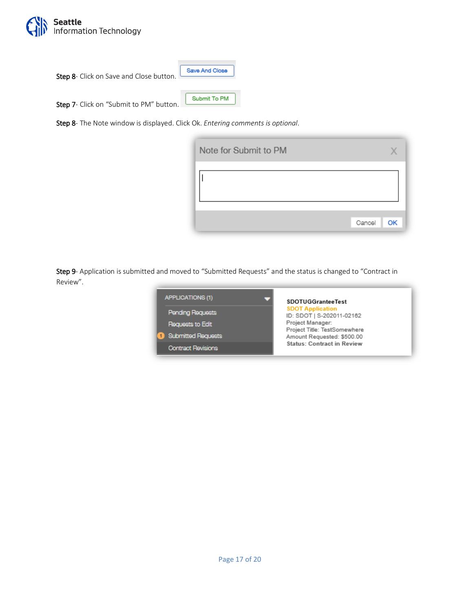

Step 8- Click on Save and Close button.

Save And Close

Submit To PM

Step 7- Click on "Submit to PM" button.

Step 8- The Note window is displayed. Click Ok. *Entering comments is optional*.



Step 9- Application is submitted and moved to "Submitted Requests" and the status is changed to "Contract in Review".

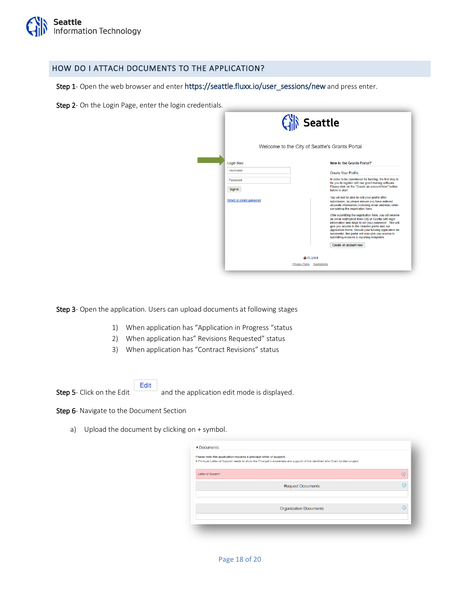

#### <span id="page-17-0"></span>HOW DO I ATTACH DOCUMENTS TO THE APPLICATION?

Step 1- Open the web browser and enter https://seattle.fluxx.io/user\_sessions/new and press enter.

Step 2- On the Login Page, enter the login credentials.

|                          | <b>Seattle</b><br>Welcome to the City of Seattle's Grants Portal                                                                                                                                                                                                                                                                                                                           |  |
|--------------------------|--------------------------------------------------------------------------------------------------------------------------------------------------------------------------------------------------------------------------------------------------------------------------------------------------------------------------------------------------------------------------------------------|--|
| Login Now:               | <b>New to the Grants Portal?</b>                                                                                                                                                                                                                                                                                                                                                           |  |
| Usemame                  | <b>Create Your Profile</b>                                                                                                                                                                                                                                                                                                                                                                 |  |
| Password<br>Sign in      | In order to be considered for funding, the first step is<br>for you to register with our grant making software.<br>Please click on the "Create an account Now" button.<br>below to start.                                                                                                                                                                                                  |  |
| Reset or create password | You will not be able to edit your profile after<br>submission, so please ensure you have entered<br>accurate information (including email address) when<br>completing the registration form.                                                                                                                                                                                               |  |
|                          | After submitting the registration form, you will receive<br>an email notification from City of Seattle with login<br>information and steps to set your password. This will<br>give you access to the Grantee portal and our<br>application forms. Should your funding application be<br>successful, this portal will also give you access to<br>submitting invoices & reporting templates. |  |
|                          | Create an account now<br><b>&amp;FLUXX</b>                                                                                                                                                                                                                                                                                                                                                 |  |
|                          | Privacy Policy Accessibility                                                                                                                                                                                                                                                                                                                                                               |  |

Step 3- Open the application. Users can upload documents at following stages

- 1) When application has "Application in Progress "status
- 2) When application has" Revisions Requested" status
- 3) When application has "Contract Revisions" status

Edit

Step 5- Click on the Edit and the application edit mode is displayed.

#### Step 6- Navigate to the Document Section

a) Upload the document by clicking on + symbol.

| Please note this application requires a principal letter of support. | A Principal Letter of Support needs to show the Principal's awareness and support of the identified Mini Grant funded project. |   |
|----------------------------------------------------------------------|--------------------------------------------------------------------------------------------------------------------------------|---|
| Letter of Support                                                    |                                                                                                                                | œ |
|                                                                      | <b>Request Documents</b>                                                                                                       | A |
|                                                                      | <b>Organization Documents</b>                                                                                                  | Æ |
|                                                                      |                                                                                                                                |   |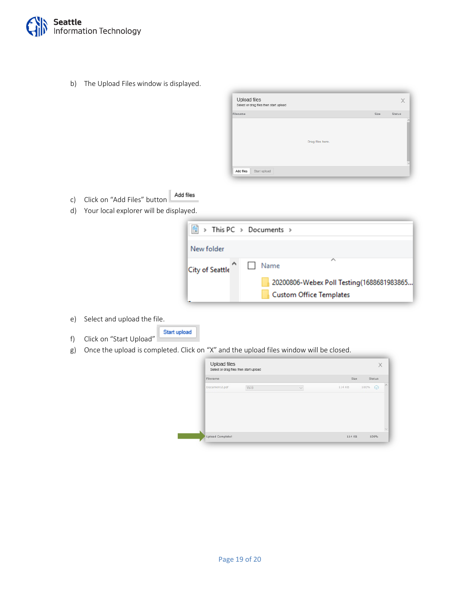

b) The Upload Files window is displayed.

| Filename |                  | Size | Status |
|----------|------------------|------|--------|
|          |                  |      |        |
|          |                  |      |        |
|          | Drag files here. |      |        |
|          |                  |      |        |
|          |                  |      |        |

- c) Click on "Add Files" button Add files
- d) Your local explorer will be displayed.

| 奎               | > This PC > Documents >                                              |
|-----------------|----------------------------------------------------------------------|
| New folder      |                                                                      |
| City of Seattle | ́<br>Name                                                            |
|                 | 20200806-Webex Poll Testing(1688681983865<br>Custom Office Templates |

- e) Select and upload the file.
- Start upload f) Click on "Start Upload"
- g) Once the upload is completed. Click on "X" and the upload files window will be closed.

| 114 KB | $\odot$<br>100% |
|--------|-----------------|
|        |                 |
|        |                 |
|        |                 |
|        |                 |
|        |                 |
|        |                 |
|        |                 |